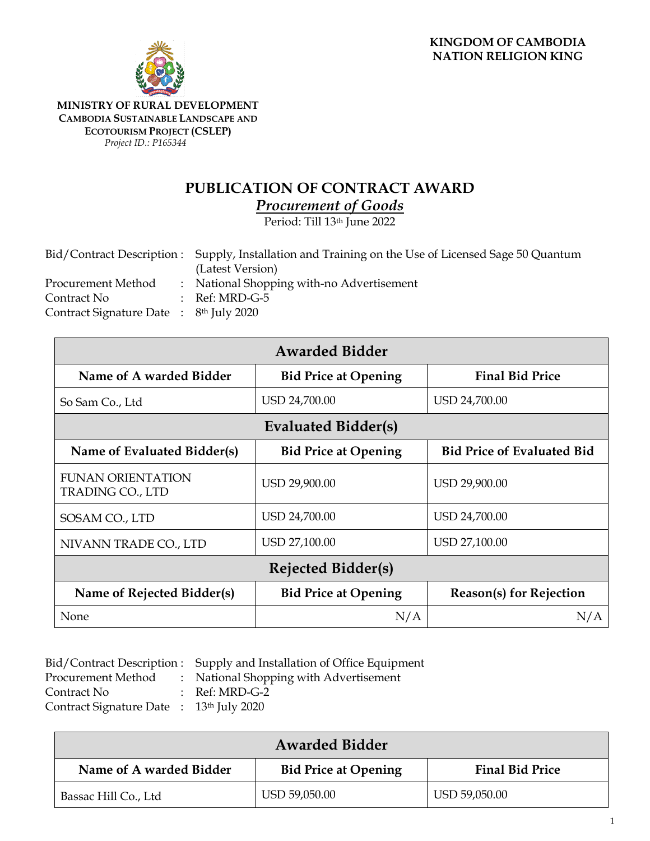

**MINISTRY OF RURAL DEVELOPMENT CAMBODIA SUSTAINABLE LANDSCAPE AND ECOTOURISM PROJECT (CSLEP)** *Project ID.: P165344*

## **PUBLICATION OF CONTRACT AWARD**

*Procurement of Goods*

Period: Till 13th June 2022

|                                                                | Bid/Contract Description : Supply, Installation and Training on the Use of Licensed Sage 50 Quantum<br>(Latest Version) |
|----------------------------------------------------------------|-------------------------------------------------------------------------------------------------------------------------|
| Procurement Method                                             | : National Shopping with-no Advertisement                                                                               |
| Contract No                                                    | $:$ Ref: MRD-G-5                                                                                                        |
| Contract Signature Date $\therefore$ 8 <sup>th</sup> July 2020 |                                                                                                                         |

| <b>Awarded Bidder</b>                        |                             |                                   |  |
|----------------------------------------------|-----------------------------|-----------------------------------|--|
| Name of A warded Bidder                      | <b>Bid Price at Opening</b> | <b>Final Bid Price</b>            |  |
| So Sam Co., Ltd                              | USD 24,700.00               | USD 24,700.00                     |  |
|                                              | <b>Evaluated Bidder(s)</b>  |                                   |  |
| Name of Evaluated Bidder(s)                  | <b>Bid Price at Opening</b> | <b>Bid Price of Evaluated Bid</b> |  |
| <b>FUNAN ORIENTATION</b><br>TRADING CO., LTD | USD 29,900.00               | USD 29,900.00                     |  |
| SOSAM CO., LTD                               | USD 24,700.00               | USD 24,700.00                     |  |
| NIVANN TRADE CO., LTD                        | USD 27,100.00               | USD 27,100.00                     |  |
| <b>Rejected Bidder(s)</b>                    |                             |                                   |  |
| Name of Rejected Bidder(s)                   | <b>Bid Price at Opening</b> | <b>Reason(s) for Rejection</b>    |  |
| None                                         | N/A                         | N/A                               |  |

|                                          | Bid/Contract Description: Supply and Installation of Office Equipment |
|------------------------------------------|-----------------------------------------------------------------------|
| Procurement Method                       | : National Shopping with Advertisement                                |
| Contract No                              | $\therefore$ Ref: MRD-G-2                                             |
| Contract Signature Date : 13th July 2020 |                                                                       |

| <b>Awarded Bidder</b>   |                             |                        |  |  |
|-------------------------|-----------------------------|------------------------|--|--|
| Name of A warded Bidder | <b>Bid Price at Opening</b> | <b>Final Bid Price</b> |  |  |
| Bassac Hill Co., Ltd    | USD 59,050.00               | USD 59,050.00          |  |  |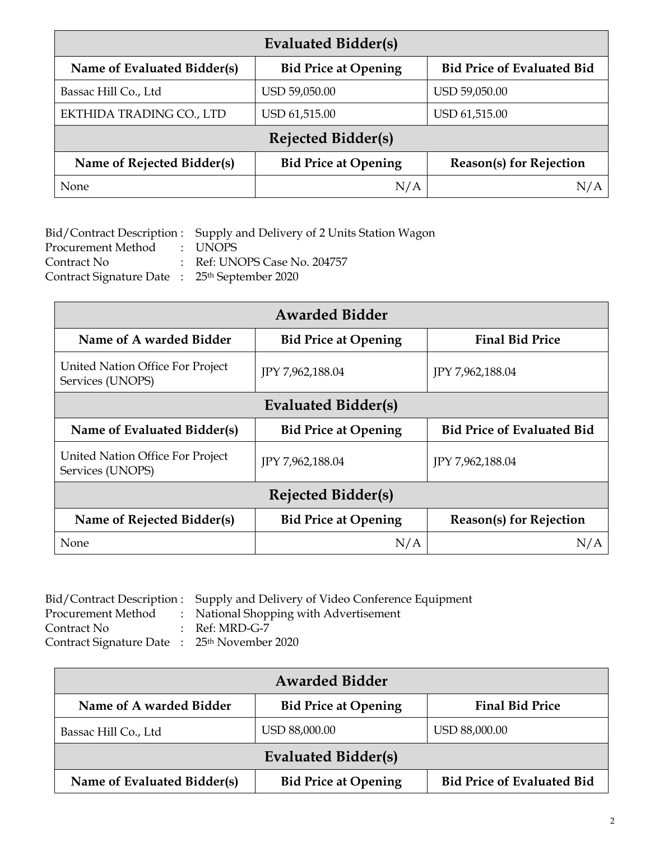| <b>Evaluated Bidder(s)</b>  |                             |                                   |  |
|-----------------------------|-----------------------------|-----------------------------------|--|
| Name of Evaluated Bidder(s) | <b>Bid Price at Opening</b> | <b>Bid Price of Evaluated Bid</b> |  |
| Bassac Hill Co., Ltd        | USD 59,050.00               | USD 59,050.00                     |  |
| EKTHIDA TRADING CO., LTD    | USD 61,515.00               | USD 61,515.00                     |  |
|                             | <b>Rejected Bidder(s)</b>   |                                   |  |
| Name of Rejected Bidder(s)  | <b>Bid Price at Opening</b> | <b>Reason(s) for Rejection</b>    |  |
| None                        | N/A                         | N/A                               |  |

Bid/Contract Description : Supply and Delivery of 2 Units Station Wagon Procurement Method : UNOPS Procurement Method Contract No : Ref: UNOPS Case No. 204757 Contract Signature Date : 25th September 2020

| <b>Awarded Bidder</b>                                |                             |                                   |  |
|------------------------------------------------------|-----------------------------|-----------------------------------|--|
| Name of A warded Bidder                              | <b>Bid Price at Opening</b> | <b>Final Bid Price</b>            |  |
| United Nation Office For Project<br>Services (UNOPS) | JPY 7,962,188.04            | JPY 7,962,188.04                  |  |
| Evaluated Bidder(s)                                  |                             |                                   |  |
| Name of Evaluated Bidder(s)                          | <b>Bid Price at Opening</b> | <b>Bid Price of Evaluated Bid</b> |  |
| United Nation Office For Project<br>Services (UNOPS) | JPY 7,962,188.04            | JPY 7,962,188.04                  |  |
| <b>Rejected Bidder(s)</b>                            |                             |                                   |  |
| Name of Rejected Bidder(s)                           | <b>Bid Price at Opening</b> | <b>Reason(s) for Rejection</b>    |  |
| None                                                 | N/A                         | N/A                               |  |

| Bid/Contract Description: Supply and Delivery of Video Conference Equipment |
|-----------------------------------------------------------------------------|
| : National Shopping with Advertisement                                      |
| $\therefore$ Ref: MRD-G-7                                                   |
| Contract Signature Date : 25 <sup>th</sup> November 2020                    |
|                                                                             |

| <b>Awarded Bidder</b>       |                             |                                   |  |  |
|-----------------------------|-----------------------------|-----------------------------------|--|--|
| Name of A warded Bidder     | <b>Bid Price at Opening</b> | <b>Final Bid Price</b>            |  |  |
| Bassac Hill Co., Ltd        | USD 88,000.00               | USD 88,000.00                     |  |  |
| <b>Evaluated Bidder(s)</b>  |                             |                                   |  |  |
| Name of Evaluated Bidder(s) | <b>Bid Price at Opening</b> | <b>Bid Price of Evaluated Bid</b> |  |  |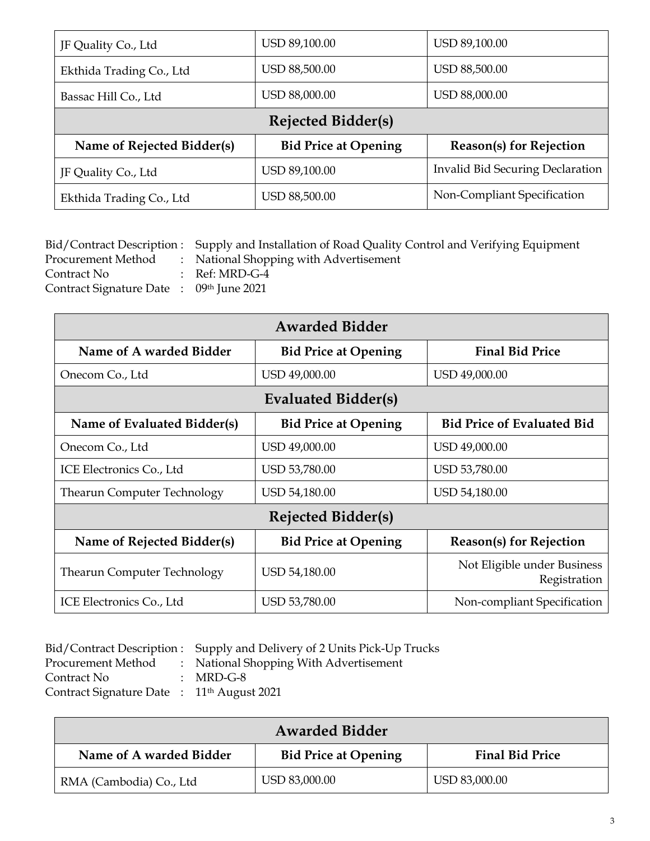| JF Quality Co., Ltd        | USD 89,100.00               | USD 89,100.00                           |  |
|----------------------------|-----------------------------|-----------------------------------------|--|
| Ekthida Trading Co., Ltd   | USD 88,500.00               | USD 88,500.00                           |  |
| Bassac Hill Co., Ltd       | USD 88,000.00               | USD 88,000.00                           |  |
| Rejected Bidder(s)         |                             |                                         |  |
| Name of Rejected Bidder(s) | <b>Bid Price at Opening</b> | <b>Reason(s)</b> for Rejection          |  |
| JF Quality Co., Ltd        | USD 89,100.00               | <b>Invalid Bid Securing Declaration</b> |  |
| Ekthida Trading Co., Ltd   | <b>USD 88,500.00</b>        | Non-Compliant Specification             |  |

|                                          | Bid/Contract Description : Supply and Installation of Road Quality Control and Verifying Equipment |
|------------------------------------------|----------------------------------------------------------------------------------------------------|
| <b>Procurement Method</b>                | : National Shopping with Advertisement                                                             |
| Contract No                              | $\therefore$ Ref: MRD-G-4                                                                          |
| Contract Signature Date : 09th June 2021 |                                                                                                    |

| <b>Awarded Bidder</b>              |                             |                                             |  |  |
|------------------------------------|-----------------------------|---------------------------------------------|--|--|
| Name of A warded Bidder            | <b>Bid Price at Opening</b> | <b>Final Bid Price</b>                      |  |  |
| Onecom Co., Ltd                    | USD 49,000.00               | USD 49,000.00                               |  |  |
|                                    | Evaluated Bidder(s)         |                                             |  |  |
| Name of Evaluated Bidder(s)        | <b>Bid Price at Opening</b> | <b>Bid Price of Evaluated Bid</b>           |  |  |
| Onecom Co., Ltd                    | USD 49,000.00               | USD 49,000.00                               |  |  |
| ICE Electronics Co., Ltd           | USD 53,780.00               | USD 53,780.00                               |  |  |
| <b>Thearun Computer Technology</b> | USD 54,180.00               | USD 54,180.00                               |  |  |
| <b>Rejected Bidder(s)</b>          |                             |                                             |  |  |
| Name of Rejected Bidder(s)         | <b>Bid Price at Opening</b> | <b>Reason(s) for Rejection</b>              |  |  |
| <b>Thearun Computer Technology</b> | USD 54,180.00               | Not Eligible under Business<br>Registration |  |  |
| ICE Electronics Co., Ltd           | USD 53,780.00               | Non-compliant Specification                 |  |  |

|                                                        | Bid/Contract Description : Supply and Delivery of 2 Units Pick-Up Trucks |
|--------------------------------------------------------|--------------------------------------------------------------------------|
| Procurement Method                                     | : National Shopping With Advertisement                                   |
| Contract No                                            | : MRD-G-8                                                                |
| Contract Signature Date : 11 <sup>th</sup> August 2021 |                                                                          |

| <b>Awarded Bidder</b>   |                             |                        |
|-------------------------|-----------------------------|------------------------|
| Name of A warded Bidder | <b>Bid Price at Opening</b> | <b>Final Bid Price</b> |
| RMA (Cambodia) Co., Ltd | USD 83,000.00               | USD 83,000.00          |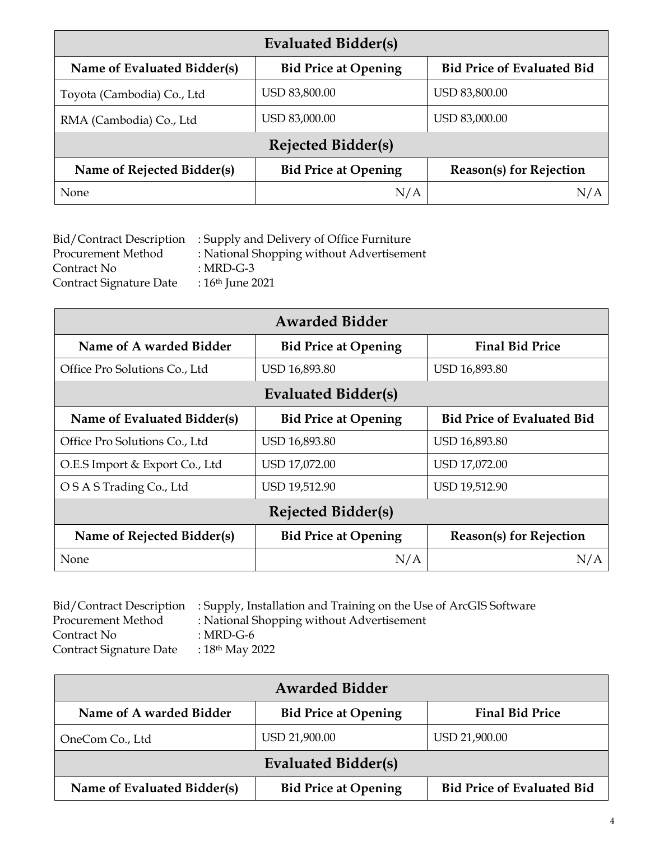| Evaluated Bidder(s)         |                             |                                   |
|-----------------------------|-----------------------------|-----------------------------------|
| Name of Evaluated Bidder(s) | <b>Bid Price at Opening</b> | <b>Bid Price of Evaluated Bid</b> |
| Toyota (Cambodia) Co., Ltd  | USD 83,800.00               | USD 83,800.00                     |
| RMA (Cambodia) Co., Ltd     | USD 83,000.00               | USD 83,000.00                     |
| <b>Rejected Bidder(s)</b>   |                             |                                   |
| Name of Rejected Bidder(s)  | <b>Bid Price at Opening</b> | <b>Reason(s)</b> for Rejection    |
| <b>None</b>                 | N/A                         | N/A                               |

|                         | Bid/Contract Description : Supply and Delivery of Office Furniture |
|-------------------------|--------------------------------------------------------------------|
| Procurement Method      | : National Shopping without Advertisement                          |
| Contract No             | : MRD-G-3                                                          |
| Contract Signature Date | : $16th$ June 2021                                                 |

| <b>Awarded Bidder</b>          |                             |                                   |
|--------------------------------|-----------------------------|-----------------------------------|
| Name of A warded Bidder        | <b>Bid Price at Opening</b> | <b>Final Bid Price</b>            |
| Office Pro Solutions Co., Ltd  | USD 16,893.80               | USD 16,893.80                     |
| <b>Evaluated Bidder(s)</b>     |                             |                                   |
| Name of Evaluated Bidder(s)    | <b>Bid Price at Opening</b> | <b>Bid Price of Evaluated Bid</b> |
| Office Pro Solutions Co., Ltd  | USD 16,893.80               | USD 16,893.80                     |
| O.E.S Import & Export Co., Ltd | USD 17,072.00               | USD 17,072.00                     |
| O S A S Trading Co., Ltd       | USD 19,512.90               | USD 19,512.90                     |
| <b>Rejected Bidder(s)</b>      |                             |                                   |
| Name of Rejected Bidder(s)     | <b>Bid Price at Opening</b> | <b>Reason(s) for Rejection</b>    |
| None                           | N/A                         | N/A                               |

|                         | Bid/Contract Description : Supply, Installation and Training on the Use of ArcGIS Software |
|-------------------------|--------------------------------------------------------------------------------------------|
| Procurement Method      | : National Shopping without Advertisement                                                  |
| Contract No             | : MRD-G-6                                                                                  |
| Contract Signature Date | : $18^{th}$ May 2022                                                                       |

| <b>Awarded Bidder</b>       |                             |                                   |
|-----------------------------|-----------------------------|-----------------------------------|
| Name of A warded Bidder     | <b>Bid Price at Opening</b> | <b>Final Bid Price</b>            |
| OneCom Co., Ltd             | USD 21,900.00               | USD 21,900.00                     |
| <b>Evaluated Bidder(s)</b>  |                             |                                   |
| Name of Evaluated Bidder(s) | <b>Bid Price at Opening</b> | <b>Bid Price of Evaluated Bid</b> |